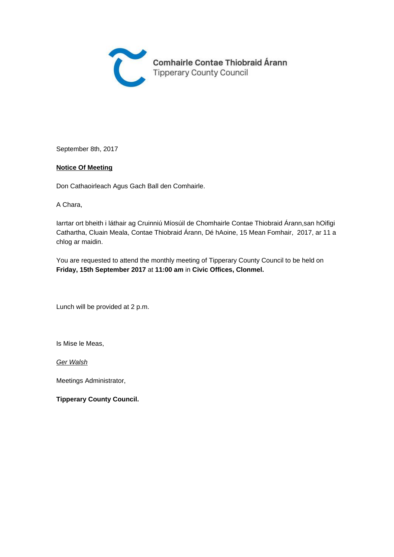

September 8th, 2017

#### **Notice Of Meeting**

Don Cathaoirleach Agus Gach Ball den Comhairle.

A Chara,

Iarrtar ort bheith i láthair ag Cruinniú Míosúil de Chomhairle Contae Thiobraid Árann,san hOifigi Cathartha, Cluain Meala, Contae Thiobraid Árann, Dé hAoine, 15 Mean Fomhair, 2017, ar 11 a chlog ar maidin.

You are requested to attend the monthly meeting of Tipperary County Council to be held on **Friday, 15th September 2017** at **11:00 am** in **Civic Offices, Clonmel.** 

Lunch will be provided at 2 p.m.

Is Mise le Meas,

**Ger Walsh** 

Meetings Administrator,

**Tipperary County Council.**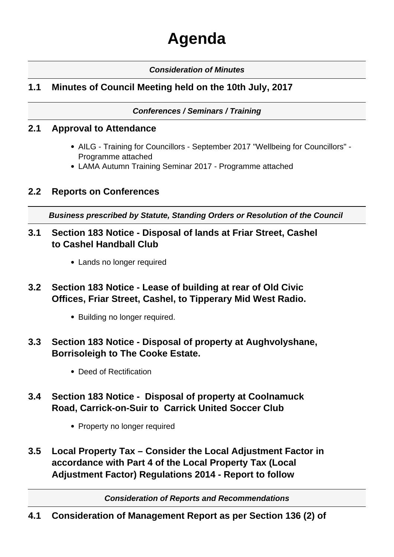# **Agenda**

## **Consideration of Minutes**

# **1.1 Minutes of Council Meeting held on the 10th July, 2017**

#### **Conferences / Seminars / Training**

## **2.1 Approval to Attendance**

- AILG Training for Councillors September 2017 "Wellbeing for Councillors" Programme attached
- LAMA Autumn Training Seminar 2017 Programme attached

## **2.2 Reports on Conferences**

**Business prescribed by Statute, Standing Orders or Resolution of the Council** 

- **3.1 Section 183 Notice Disposal of lands at Friar Street, Cashel to Cashel Handball Club**
	- Lands no longer required
- **3.2 Section 183 Notice Lease of building at rear of Old Civic Offices, Friar Street, Cashel, to Tipperary Mid West Radio.**
	- Building no longer required.
- **3.3 Section 183 Notice Disposal of property at Aughvolyshane, Borrisoleigh to The Cooke Estate.**
	- Deed of Rectification
- **3.4 Section 183 Notice Disposal of property at Coolnamuck Road, Carrick-on-Suir to Carrick United Soccer Club**
	- Property no longer required
- **3.5 Local Property Tax Consider the Local Adjustment Factor in accordance with Part 4 of the Local Property Tax (Local Adjustment Factor) Regulations 2014 - Report to follow**

**Consideration of Reports and Recommendations**

**4.1 Consideration of Management Report as per Section 136 (2) of**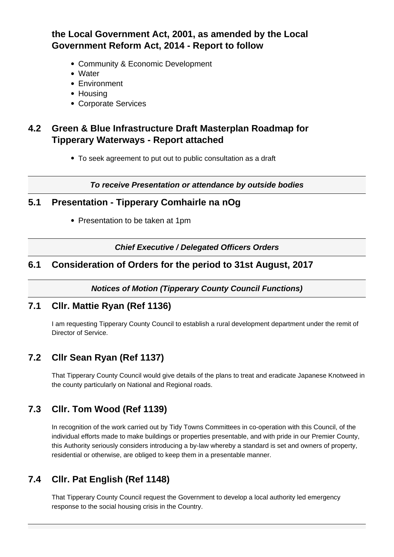# **the Local Government Act, 2001, as amended by the Local Government Reform Act, 2014 - Report to follow**

- Community & Economic Development
- Water
- Environment
- Housing
- Corporate Services

# **4.2 Green & Blue Infrastructure Draft Masterplan Roadmap for Tipperary Waterways - Report attached**

To seek agreement to put out to public consultation as a draft

**To receive Presentation or attendance by outside bodies**

## **5.1 Presentation - Tipperary Comhairle na nOg**

• Presentation to be taken at 1pm

**Chief Executive / Delegated Officers Orders**

## **6.1 Consideration of Orders for the period to 31st August, 2017**

**Notices of Motion (Tipperary County Council Functions)**

## **7.1 Cllr. Mattie Ryan (Ref 1136)**

I am requesting Tipperary County Council to establish a rural development department under the remit of Director of Service.

# **7.2 Cllr Sean Ryan (Ref 1137)**

That Tipperary County Council would give details of the plans to treat and eradicate Japanese Knotweed in the county particularly on National and Regional roads.

# **7.3 Cllr. Tom Wood (Ref 1139)**

In recognition of the work carried out by Tidy Towns Committees in co-operation with this Council, of the individual efforts made to make buildings or properties presentable, and with pride in our Premier County, this Authority seriously considers introducing a by-law whereby a standard is set and owners of property, residential or otherwise, are obliged to keep them in a presentable manner.

# **7.4 Cllr. Pat English (Ref 1148)**

That Tipperary County Council request the Government to develop a local authority led emergency response to the social housing crisis in the Country.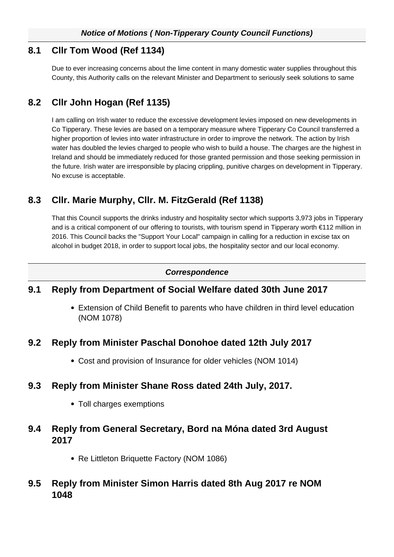## **8.1 Cllr Tom Wood (Ref 1134)**

Due to ever increasing concerns about the lime content in many domestic water supplies throughout this County, this Authority calls on the relevant Minister and Department to seriously seek solutions to same

# **8.2 Cllr John Hogan (Ref 1135)**

I am calling on Irish water to reduce the excessive development levies imposed on new developments in Co Tipperary. These levies are based on a temporary measure where Tipperary Co Council transferred a higher proportion of levies into water infrastructure in order to improve the network. The action by Irish water has doubled the levies charged to people who wish to build a house. The charges are the highest in Ireland and should be immediately reduced for those granted permission and those seeking permission in the future. Irish water are irresponsible by placing crippling, punitive charges on development in Tipperary. No excuse is acceptable.

# **8.3 Cllr. Marie Murphy, Cllr. M. FitzGerald (Ref 1138)**

That this Council supports the drinks industry and hospitality sector which supports 3,973 jobs in Tipperary and is a critical component of our offering to tourists, with tourism spend in Tipperary worth €112 million in 2016. This Council backs the "Support Your Local" campaign in calling for a reduction in excise tax on alcohol in budget 2018, in order to support local jobs, the hospitality sector and our local economy.

#### **Correspondence**

## **9.1 Reply from Department of Social Welfare dated 30th June 2017**

Extension of Child Benefit to parents who have children in third level education (NOM 1078)

## **9.2 Reply from Minister Paschal Donohoe dated 12th July 2017**

Cost and provision of Insurance for older vehicles (NOM 1014)

## **9.3 Reply from Minister Shane Ross dated 24th July, 2017.**

• Toll charges exemptions

## **9.4 Reply from General Secretary, Bord na Móna dated 3rd August 2017**

• Re Littleton Briquette Factory (NOM 1086)

## **9.5 Reply from Minister Simon Harris dated 8th Aug 2017 re NOM 1048**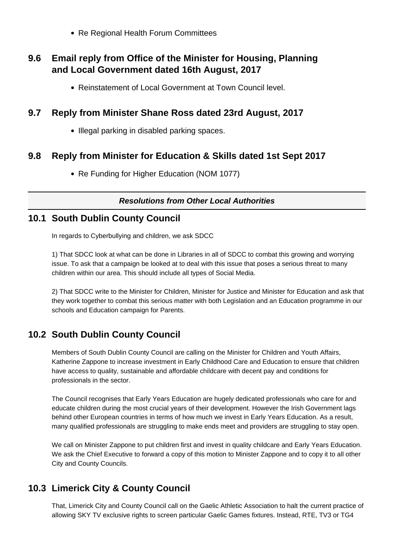• Re Regional Health Forum Committees

## **9.6 Email reply from Office of the Minister for Housing, Planning and Local Government dated 16th August, 2017**

• Reinstatement of Local Government at Town Council level.

## **9.7 Reply from Minister Shane Ross dated 23rd August, 2017**

• Illegal parking in disabled parking spaces.

## **9.8 Reply from Minister for Education & Skills dated 1st Sept 2017**

• Re Funding for Higher Education (NOM 1077)

#### **Resolutions from Other Local Authorities**

## **10.1 South Dublin County Council**

In regards to Cyberbullying and children, we ask SDCC

1) That SDCC look at what can be done in Libraries in all of SDCC to combat this growing and worrying issue. To ask that a campaign be looked at to deal with this issue that poses a serious threat to many children within our area. This should include all types of Social Media.

2) That SDCC write to the Minister for Children, Minister for Justice and Minister for Education and ask that they work together to combat this serious matter with both Legislation and an Education programme in our schools and Education campaign for Parents.

# **10.2 South Dublin County Council**

Members of South Dublin County Council are calling on the Minister for Children and Youth Affairs, Katherine Zappone to increase investment in Early Childhood Care and Education to ensure that children have access to quality, sustainable and affordable childcare with decent pay and conditions for professionals in the sector.

The Council recognises that Early Years Education are hugely dedicated professionals who care for and educate children during the most crucial years of their development. However the Irish Government lags behind other European countries in terms of how much we invest in Early Years Education. As a result, many qualified professionals are struggling to make ends meet and providers are struggling to stay open.

We call on Minister Zappone to put children first and invest in quality childcare and Early Years Education. We ask the Chief Executive to forward a copy of this motion to Minister Zappone and to copy it to all other City and County Councils.

## **10.3 Limerick City & County Council**

That, Limerick City and County Council call on the Gaelic Athletic Association to halt the current practice of allowing SKY TV exclusive rights to screen particular Gaelic Games fixtures. Instead, RTE, TV3 or TG4